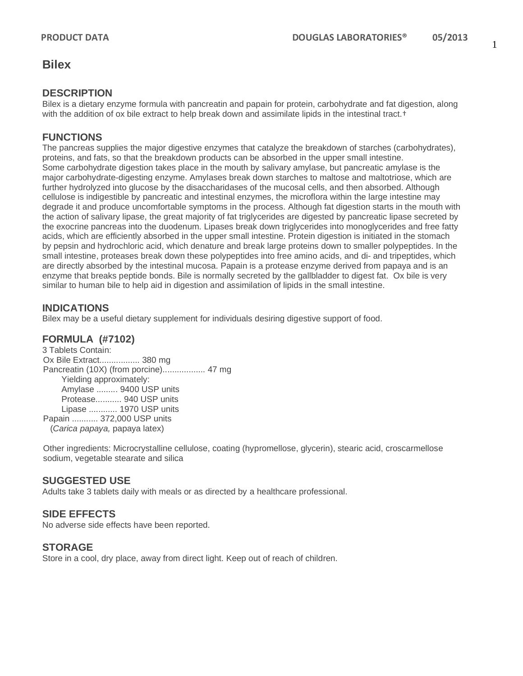1

# **Bilex**

### **DESCRIPTION**

Bilex is a dietary enzyme formula with pancreatin and papain for protein, carbohydrate and fat digestion, along with the addition of ox bile extract to help break down and assimilate lipids in the intestinal tract.<sup>†</sup>

## **FUNCTIONS**

The pancreas supplies the major digestive enzymes that catalyze the breakdown of starches (carbohydrates), proteins, and fats, so that the breakdown products can be absorbed in the upper small intestine. Some carbohydrate digestion takes place in the mouth by salivary amylase, but pancreatic amylase is the major carbohydrate-digesting enzyme. Amylases break down starches to maltose and maltotriose, which are further hydrolyzed into glucose by the disaccharidases of the mucosal cells, and then absorbed. Although cellulose is indigestible by pancreatic and intestinal enzymes, the microflora within the large intestine may degrade it and produce uncomfortable symptoms in the process. Although fat digestion starts in the mouth with the action of salivary lipase, the great majority of fat triglycerides are digested by pancreatic lipase secreted by the exocrine pancreas into the duodenum. Lipases break down triglycerides into monoglycerides and free fatty acids, which are efficiently absorbed in the upper small intestine. Protein digestion is initiated in the stomach by pepsin and hydrochloric acid, which denature and break large proteins down to smaller polypeptides. In the small intestine, proteases break down these polypeptides into free amino acids, and di- and tripeptides, which are directly absorbed by the intestinal mucosa. Papain is a protease enzyme derived from papaya and is an enzyme that breaks peptide bonds. Bile is normally secreted by the gallbladder to digest fat. Ox bile is very similar to human bile to help aid in digestion and assimilation of lipids in the small intestine.

### **INDICATIONS**

Bilex may be a useful dietary supplement for individuals desiring digestive support of food.

#### **FORMULA (#7102)**

3 Tablets Contain: Ox Bile Extract................. 380 mg Pancreatin (10X) (from porcine).................. 47 mg Yielding approximately: Amylase ......... 9400 USP units Protease........... 940 USP units Lipase ............ 1970 USP units Papain ........... 372,000 USP units (*Carica papaya,* papaya latex)

Other ingredients: Microcrystalline cellulose, coating (hypromellose, glycerin), stearic acid, croscarmellose sodium, vegetable stearate and silica

#### **SUGGESTED USE**

Adults take 3 tablets daily with meals or as directed by a healthcare professional.

#### **SIDE EFFECTS**

No adverse side effects have been reported.

#### **STORAGE**

Store in a cool, dry place, away from direct light. Keep out of reach of children.